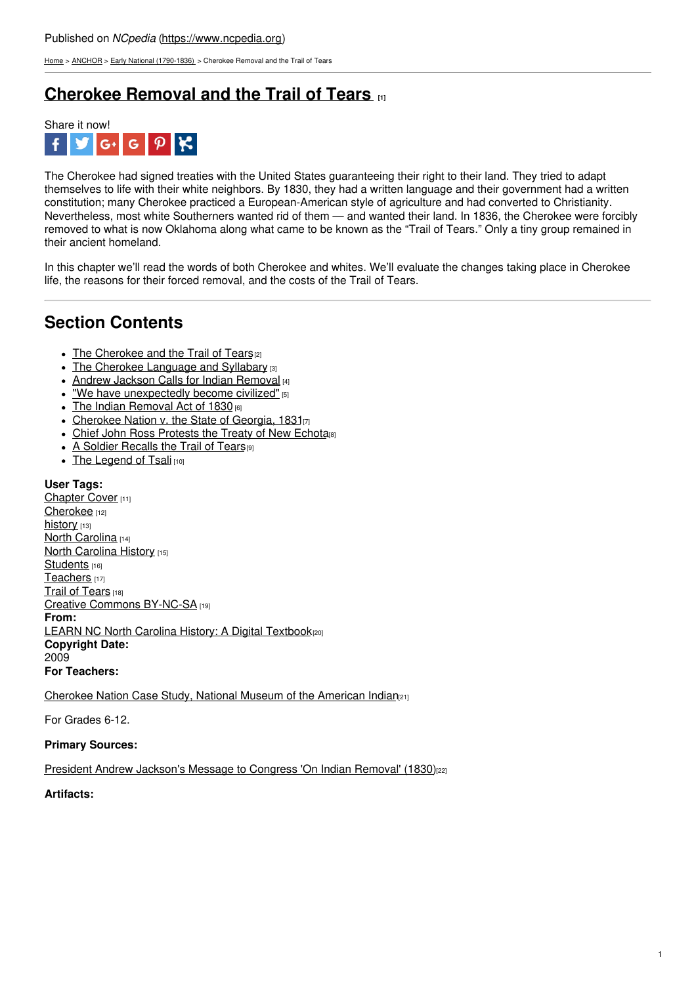[Home](https://www.ncpedia.org/) > [ANCHOR](https://www.ncpedia.org/anchor/anchor) > Early National [\(1790-1836\)](https://www.ncpedia.org/anchor/early-national-1790-1836) > Cherokee Removal and the Trail of Tears

# **[Cherokee](https://www.ncpedia.org/anchor/cherokee-removal-and-trail) Removal and the Trail of Tears [1]**



The Cherokee had signed treaties with the United States guaranteeing their right to their land. They tried to adapt themselves to life with their white neighbors. By 1830, they had a written language and their government had a written constitution; many Cherokee practiced a European-American style of agriculture and had converted to Christianity. Nevertheless, most white Southerners wanted rid of them — and wanted their land. In 1836, the Cherokee were forcibly removed to what is now Oklahoma along what came to be known as the "Trail of Tears." Only a tiny group remained in their ancient homeland.

In this chapter we'll read the words of both Cherokee and whites. We'll evaluate the changes taking place in Cherokee life, the reasons for their forced removal, and the costs of the Trail of Tears.

## **Section Contents**

- The [Cherokee](https://www.ncpedia.org/anchor/cherokee-and-trail-tears) and the Trail of Tears<sup>[2]</sup>
- The Cherokee [Language](https://www.ncpedia.org/anchor/cherokee-language-and) and Syllabary [3]
- Andrew Jackson Calls for Indian [Removal](https://www.ncpedia.org/anchor/andrew-jackson-calls-indian) [4]
- "We have [unexpectedly](https://www.ncpedia.org/anchor/we-have-unexpectedly-become) become civilized" [5]
- $\bullet$  The Indian [Removal](https://www.ncpedia.org/anchor/indian-removal-act-1830) Act of 1830 [6]
- [Cherokee](https://www.ncpedia.org/anchor/cherokee-nation-v-state) Nation v. the State of Georgia, 1831[7]
- Chief John Ross [Protests](https://www.ncpedia.org/anchor/chief-john-ross-protests) the Treaty of New Echota<sub>[8]</sub>
- A Soldier [Recalls](https://www.ncpedia.org/anchor/soldier-recalls-trail-tears) the Trail of Tears<sup>[9]</sup>
- The [Legend](https://www.ncpedia.org/anchor/legend-tsali) of Tsali [10]

### **User Tags:**

[Chapter](https://www.ncpedia.org/category/user-tags/chapter-cover) Cover [11] [Cherokee](https://www.ncpedia.org/category/user-tags/cherokee) [12] [history](https://www.ncpedia.org/category/user-tags/history) [13] North [Carolina](https://www.ncpedia.org/category/user-tags/north-carolina-5) [14] North [Carolina](https://www.ncpedia.org/category/user-tags/north-carolina-6) History [15] [Students](https://www.ncpedia.org/category/user-tags/students) [16] [Teachers](https://www.ncpedia.org/category/user-tags/teachers) [17] Trail of [Tears](https://www.ncpedia.org/category/user-tags/trail-tears) [18] Creative Commons [BY-NC-SA](https://www.ncpedia.org/category/user-tags/creative-commons) [19] **From:** LEARN NC North Carolina History: A Digital [Textbook](https://www.ncpedia.org/category/entry-source/learn-nc)<sup>[20]</sup> **Copyright Date:** 2009 **For Teachers:**

[Cherokee](https://americanindian.si.edu/nk360/removal/index.cshtml#titlePagecshtml) Nation Case Study, National Museum of the American Indian<sub>[21]</sub>

For Grades 6-12.

### **Primary Sources:**

President Andrew [Jackson's](https://www.archives.gov/milestone-documents/jacksons-message-to-congress-on-indian-removal) Message to Congress 'On Indian Removal' (1830)[22]

### **Artifacts:**